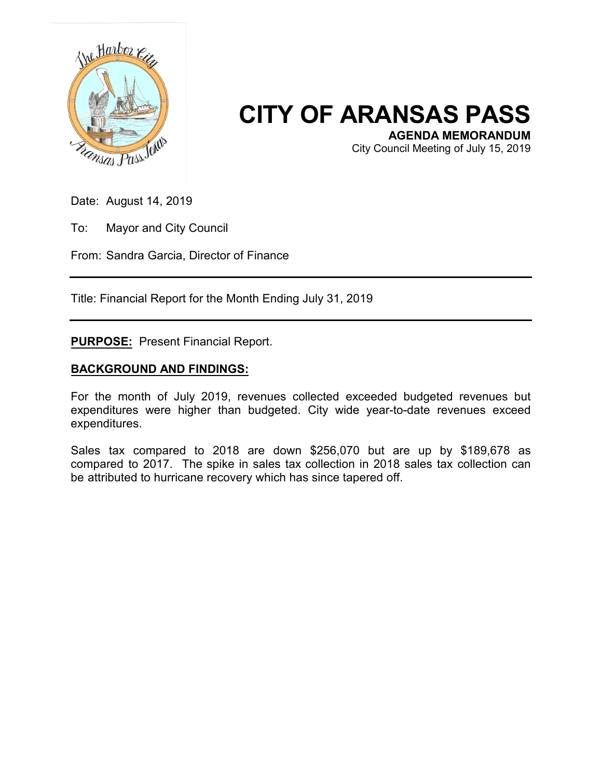

## **CITY OF ARANSAS PASS**

**AGENDA MEMORANDUM**

City Council Meeting of July 15, 2019

Date: August 14, 2019

To: Mayor and City Council

From: Sandra Garcia, Director of Finance

Title: Financial Report for the Month Ending July 31, 2019

**PURPOSE:** Present Financial Report.

## **BACKGROUND AND FINDINGS:**

For the month of July 2019, revenues collected exceeded budgeted revenues but expenditures were higher than budgeted. City wide year-to-date revenues exceed expenditures.

Sales tax compared to 2018 are down \$256,070 but are up by \$189,678 as compared to 2017. The spike in sales tax collection in 2018 sales tax collection can be attributed to hurricane recovery which has since tapered off.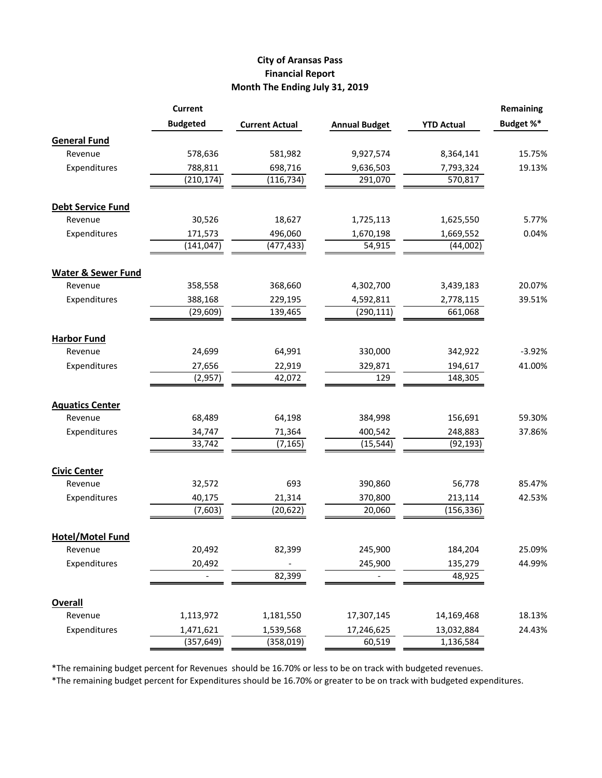## **City of Aransas Pass Financial Report Month The Ending July 31, 2019**

|                               | <b>Current</b>  |                       |                      |                   | <b>Remaining</b> |
|-------------------------------|-----------------|-----------------------|----------------------|-------------------|------------------|
|                               | <b>Budgeted</b> | <b>Current Actual</b> | <b>Annual Budget</b> | <b>YTD Actual</b> | Budget %*        |
| <b>General Fund</b>           |                 |                       |                      |                   |                  |
| Revenue                       | 578,636         | 581,982               | 9,927,574            | 8,364,141         | 15.75%           |
| Expenditures                  | 788,811         | 698,716               | 9,636,503            | 7,793,324         | 19.13%           |
|                               | (210, 174)      | (116, 734)            | 291,070              | 570,817           |                  |
| <b>Debt Service Fund</b>      |                 |                       |                      |                   |                  |
| Revenue                       | 30,526          | 18,627                | 1,725,113            | 1,625,550         | 5.77%            |
| Expenditures                  | 171,573         | 496,060               | 1,670,198            | 1,669,552         | 0.04%            |
|                               | (141, 047)      | (477, 433)            | 54,915               | (44,002)          |                  |
| <b>Water &amp; Sewer Fund</b> |                 |                       |                      |                   |                  |
| Revenue                       | 358,558         | 368,660               | 4,302,700            | 3,439,183         | 20.07%           |
| Expenditures                  | 388,168         | 229,195               | 4,592,811            | 2,778,115         | 39.51%           |
|                               | (29, 609)       | 139,465               | (290, 111)           | 661,068           |                  |
| <b>Harbor Fund</b>            |                 |                       |                      |                   |                  |
| Revenue                       | 24,699          | 64,991                | 330,000              | 342,922           | $-3.92%$         |
| Expenditures                  | 27,656          | 22,919                | 329,871              | 194,617           | 41.00%           |
|                               | (2,957)         | 42,072                | 129                  | 148,305           |                  |
| <b>Aquatics Center</b>        |                 |                       |                      |                   |                  |
| Revenue                       | 68,489          | 64,198                | 384,998              | 156,691           | 59.30%           |
| Expenditures                  | 34,747          | 71,364                | 400,542              | 248,883           | 37.86%           |
|                               | 33,742          | (7, 165)              | (15, 544)            | (92, 193)         |                  |
| <b>Civic Center</b>           |                 |                       |                      |                   |                  |
| Revenue                       | 32,572          | 693                   | 390,860              | 56,778            | 85.47%           |
| Expenditures                  | 40,175          | 21,314                | 370,800              | 213,114           | 42.53%           |
|                               | (7,603)         | (20, 622)             | 20,060               | (156, 336)        |                  |
| <b>Hotel/Motel Fund</b>       |                 |                       |                      |                   |                  |
| Revenue                       | 20,492          | 82,399                | 245,900              | 184,204           | 25.09%           |
| Expenditures                  | 20,492          |                       | 245,900              | 135,279           | 44.99%           |
|                               |                 | 82,399                |                      | 48,925            |                  |
| <b>Overall</b>                |                 |                       |                      |                   |                  |
| Revenue                       | 1,113,972       | 1,181,550             | 17,307,145           | 14,169,468        | 18.13%           |
| Expenditures                  | 1,471,621       | 1,539,568             | 17,246,625           | 13,032,884        | 24.43%           |
|                               | (357, 649)      | (358, 019)            | 60,519               | 1,136,584         |                  |

\*The remaining budget percent for Revenues should be 16.70% or less to be on track with budgeted revenues.

\*The remaining budget percent for Expenditures should be 16.70% or greater to be on track with budgeted expenditures.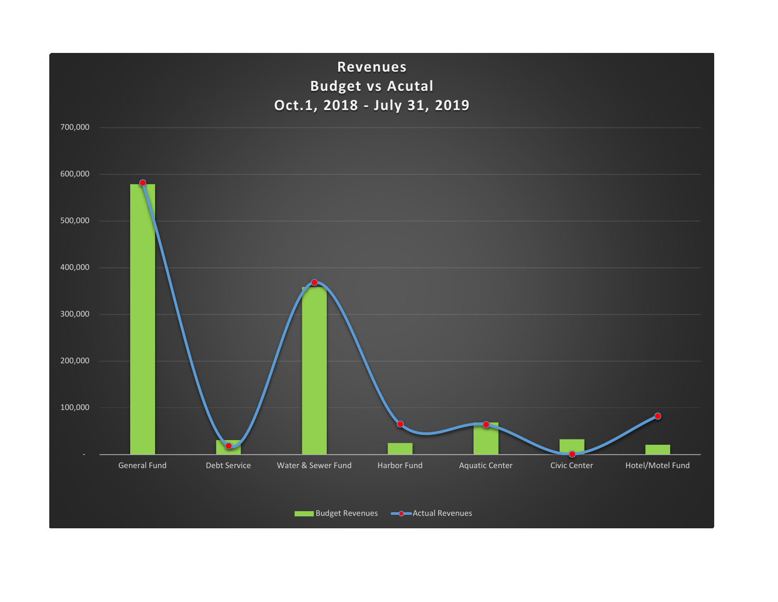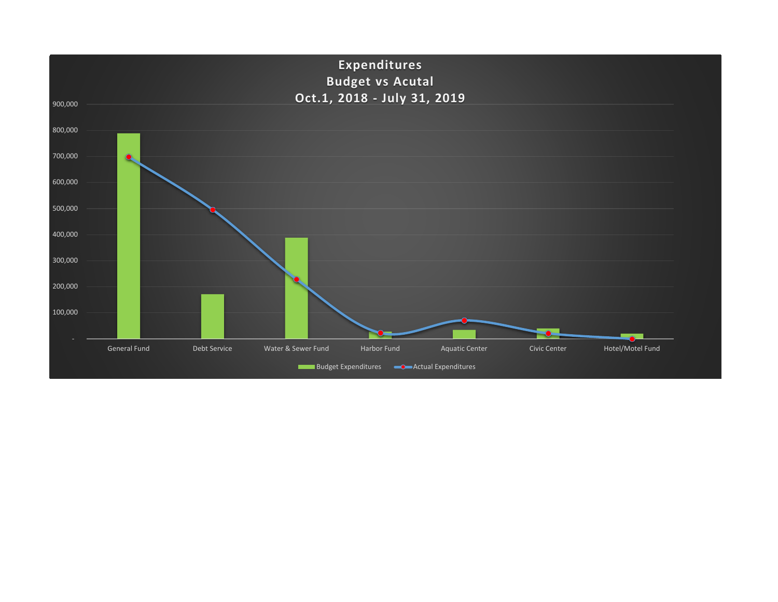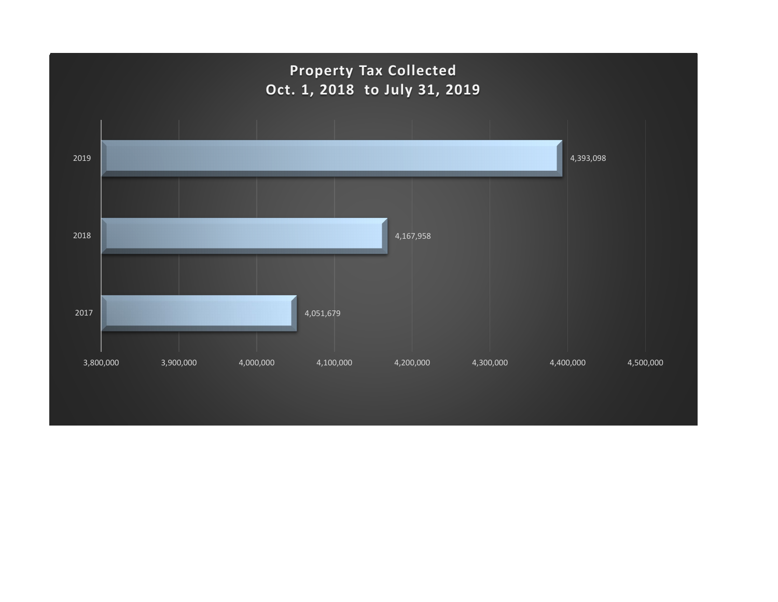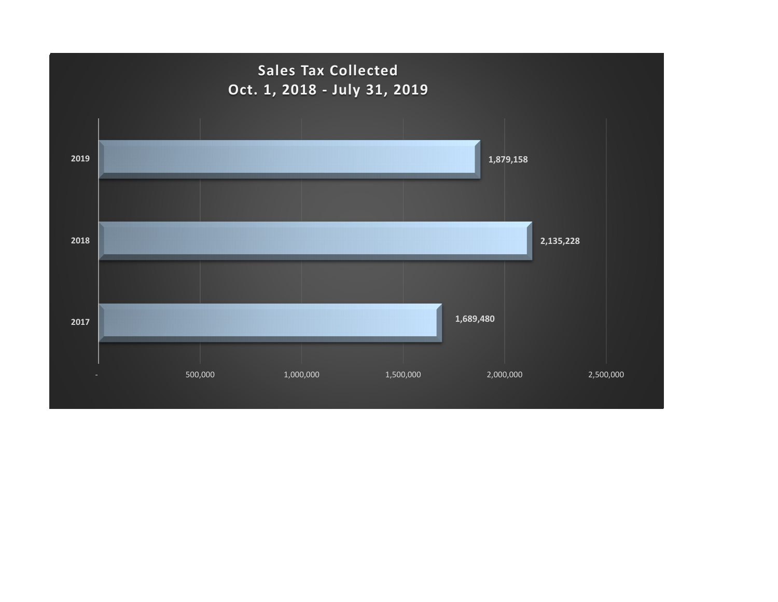